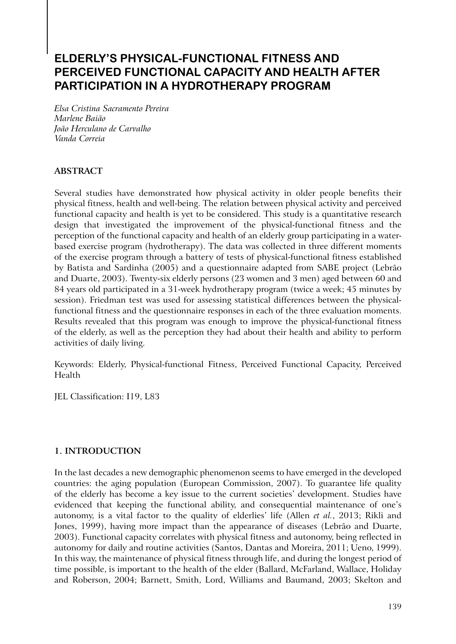# **ELDERLY'S PHYSICAL-FUNCTIONAL FITNESS AND PERCEIVED FUNCTIONAL CAPACITY AND HEALTH AFTER PARTICIPATION IN A HYDROTHERAPY PROGRAM**

*Elsa Cristina Sacramento Pereira Marlene Baião João Herculano de Carvalho Vanda Correia*

# **ABSTRACT**

Several studies have demonstrated how physical activity in older people benefits their physical fitness, health and well-being. The relation between physical activity and perceived functional capacity and health is yet to be considered. This study is a quantitative research design that investigated the improvement of the physical-functional fitness and the perception of the functional capacity and health of an elderly group participating in a waterbased exercise program (hydrotherapy). The data was collected in three different moments of the exercise program through a battery of tests of physical-functional fitness established by Batista and Sardinha (2005) and a questionnaire adapted from SABE project (Lebrão and Duarte, 2003). Twenty-six elderly persons (23 women and 3 men) aged between 60 and 84 years old participated in a 31-week hydrotherapy program (twice a week; 45 minutes by session). Friedman test was used for assessing statistical differences between the physicalfunctional fitness and the questionnaire responses in each of the three evaluation moments. Results revealed that this program was enough to improve the physical-functional fitness of the elderly, as well as the perception they had about their health and ability to perform activities of daily living.

Keywords: Elderly, Physical-functional Fitness, Perceived Functional Capacity, Perceived Health

JEL Classification: I19, L83

# **1. INTRODUCTION**

In the last decades a new demographic phenomenon seems to have emerged in the developed countries: the aging population (European Commission, 2007). To guarantee life quality of the elderly has become a key issue to the current societies' development. Studies have evidenced that keeping the functional ability, and consequential maintenance of one's autonomy, is a vital factor to the quality of elderlies' life (Allen *et al.*, 2013; Rikli and Jones, 1999), having more impact than the appearance of diseases (Lebrão and Duarte, 2003). Functional capacity correlates with physical fitness and autonomy, being reflected in autonomy for daily and routine activities (Santos, Dantas and Moreira, 2011; Ueno, 1999). In this way, the maintenance of physical fitness through life, and during the longest period of time possible, is important to the health of the elder (Ballard, McFarland, Wallace, Holiday and Roberson, 2004; Barnett, Smith, Lord, Williams and Baumand, 2003; Skelton and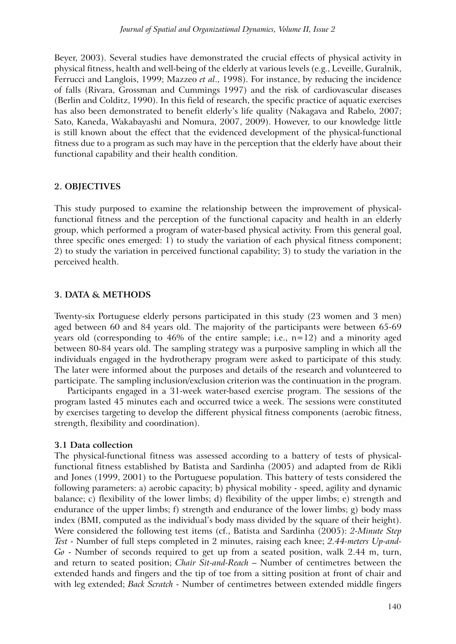Beyer, 2003). Several studies have demonstrated the crucial effects of physical activity in physical fitness, health and well-being of the elderly at various levels (e.g., Leveille, Guralnik, Ferrucci and Langlois, 1999; Mazzeo *et al*., 1998). For instance, by reducing the incidence of falls (Rivara, Grossman and Cummings 1997) and the risk of cardiovascular diseases (Berlin and Colditz, 1990). In this field of research, the specific practice of aquatic exercises has also been demonstrated to benefit elderly's life quality (Nakagava and Rabelo, 2007; Sato, Kaneda, Wakabayashi and Nomura, 2007, 2009). However, to our knowledge little is still known about the effect that the evidenced development of the physical-functional fitness due to a program as such may have in the perception that the elderly have about their functional capability and their health condition.

### **2. OBJECTIVES**

This study purposed to examine the relationship between the improvement of physicalfunctional fitness and the perception of the functional capacity and health in an elderly group, which performed a program of water-based physical activity. From this general goal, three specific ones emerged: 1) to study the variation of each physical fitness component; 2) to study the variation in perceived functional capability; 3) to study the variation in the perceived health.

# **3. DATA & METHODS**

Twenty-six Portuguese elderly persons participated in this study (23 women and 3 men) aged between 60 and 84 years old. The majority of the participants were between 65-69 years old (corresponding to 46% of the entire sample; i.e., n=12) and a minority aged between 80-84 years old. The sampling strategy was a purposive sampling in which all the individuals engaged in the hydrotherapy program were asked to participate of this study. The later were informed about the purposes and details of the research and volunteered to participate. The sampling inclusion/exclusion criterion was the continuation in the program.

Participants engaged in a 31-week water-based exercise program. The sessions of the program lasted 45 minutes each and occurred twice a week. The sessions were constituted by exercises targeting to develop the different physical fitness components (aerobic fitness, strength, flexibility and coordination).

### **3.1 Data collection**

The physical-functional fitness was assessed according to a battery of tests of physicalfunctional fitness established by Batista and Sardinha (2005) and adapted from de Rikli and Jones (1999, 2001) to the Portuguese population. This battery of tests considered the following parameters: a) aerobic capacity; b) physical mobility - speed, agility and dynamic balance; c) flexibility of the lower limbs; d) flexibility of the upper limbs; e) strength and endurance of the upper limbs; f) strength and endurance of the lower limbs; g) body mass index (BMI, computed as the individual's body mass divided by the square of their height). Were considered the following test items (cf., Batista and Sardinha (2005): *2-Minute Step Test* - Number of full steps completed in 2 minutes, raising each knee; *2.44-meters Up-and-Go* - Number of seconds required to get up from a seated position, walk 2.44 m, turn, and return to seated position; *Chair Sit-and-Reach* – Number of centimetres between the extended hands and fingers and the tip of toe from a sitting position at front of chair and with leg extended; *Back Scratch* - Number of centimetres between extended middle fingers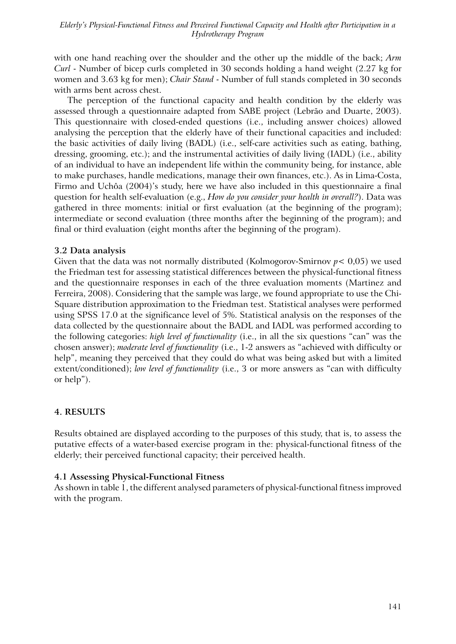with one hand reaching over the shoulder and the other up the middle of the back; *Arm Curl* - Number of bicep curls completed in 30 seconds holding a hand weight (2.27 kg for women and 3.63 kg for men); *Chair Stand* - Number of full stands completed in 30 seconds with arms bent across chest.

The perception of the functional capacity and health condition by the elderly was assessed through a questionnaire adapted from SABE project (Lebrão and Duarte, 2003). This questionnaire with closed-ended questions (i.e., including answer choices) allowed analysing the perception that the elderly have of their functional capacities and included: the basic activities of daily living (BADL) (i.e., self-care activities such as eating, bathing, dressing, grooming, etc.); and the instrumental activities of daily living (IADL) (i.e., ability of an individual to have an independent life within the community being, for instance, able to make purchases, handle medications, manage their own finances, etc.). As in Lima-Costa, Firmo and Uchôa (2004)'s study, here we have also included in this questionnaire a final question for health self-evaluation (e.g., *How do you consider your health in overall?*). Data was gathered in three moments: initial or first evaluation (at the beginning of the program); intermediate or second evaluation (three months after the beginning of the program); and final or third evaluation (eight months after the beginning of the program).

### **3.2 Data analysis**

Given that the data was not normally distributed (Kolmogorov-Smirnov *p*< 0,05) we used the Friedman test for assessing statistical differences between the physical-functional fitness and the questionnaire responses in each of the three evaluation moments (Martinez and Ferreira, 2008). Considering that the sample was large, we found appropriate to use the Chi-Square distribution approximation to the Friedman test. Statistical analyses were performed using SPSS 17.0 at the significance level of 5%. Statistical analysis on the responses of the data collected by the questionnaire about the BADL and IADL was performed according to the following categories: *high level of functionality* (i.e., in all the six questions "can" was the chosen answer); *moderate level of functionality* (i.e., 1-2 answers as "achieved with difficulty or help", meaning they perceived that they could do what was being asked but with a limited extent/conditioned); *low level of functionality* (i.e., 3 or more answers as "can with difficulty or help").

# **4. RESULTS**

Results obtained are displayed according to the purposes of this study, that is, to assess the putative effects of a water-based exercise program in the: physical-functional fitness of the elderly; their perceived functional capacity; their perceived health.

# **4.1 Assessing Physical-Functional Fitness**

As shown in table 1, the different analysed parameters of physical-functional fitness improved with the program.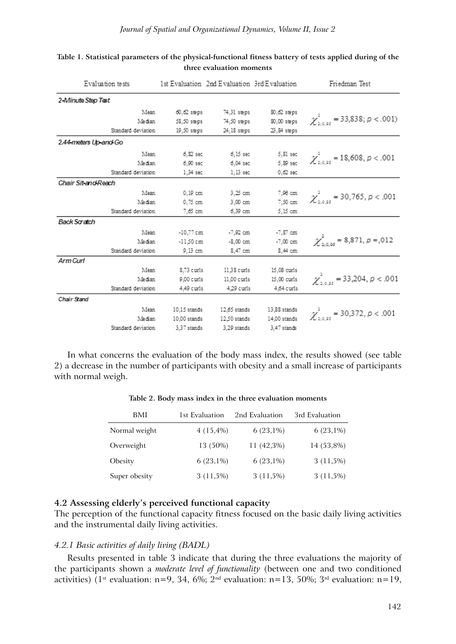| Evaluation tests      |               | 1st Evaluation 2nd Evaluation 3rd Evaluation |                         | Friedman Test                                     |
|-----------------------|---------------|----------------------------------------------|-------------------------|---------------------------------------------------|
| 2-Minute Step Test    |               |                                              |                         |                                                   |
| Mean                  | $60,62$ steps | 74,31 steps                                  | 80.62 steps             |                                                   |
| Median                | 58,50 steps   |                                              | 74,50 steps 80,00 steps | $\chi^{2}_{2.0.05}$ = 33,838; $p < .001$ )        |
| Standard deviation    | 19.50 steps   | 24.18 steps                                  | 23.84 steps             |                                                   |
| 2.44-meters Up-and Go |               |                                              |                         |                                                   |
| Mean                  | $6.82$ sec    | 6.15 sec                                     | 5,81 sec                |                                                   |
| Median                | 6.90 sec      | б.04 sec                                     | 5.89 sec                | $\chi^2_{2.0.95}$ = 18,608, p < .001              |
| Standard deviation    | 1.34 sec      | 1.13 sec                                     | $0.62$ sec              |                                                   |
| Chair Sit and Reach   |               |                                              |                         |                                                   |
| Mean                  | 0.19 cm       | 3.25 cm                                      | 7,96 cm                 |                                                   |
| Median                | $0.75$ cm     | 3.00 cm                                      | 7.50 cm                 | $\chi^2_{2.0.95}$ = 30,765, p < .001              |
| Standard deviation    | 7.65 cm       | 6.39 cm                                      | 5.15 cm                 |                                                   |
| <b>Back Scratch</b>   |               |                                              |                         |                                                   |
| Mean                  | $-10.77$ cm   |                                              | -7,92 cm -7,87 cm       |                                                   |
| Median                | $-11.50cm$    | -8.00 cm                                     | $-7,00$ cm              | $\chi^{2}_{2.0 \text{ s}}$ = 8,871, $\rho$ = 0.12 |
| Standard deviation    | 9.13 cm       | 8.47 cm                                      | 8.44 cm                 |                                                   |
| Arm Curl              |               |                                              |                         |                                                   |
| Mean                  | 8.73 curls    | 11.38 curis                                  | 15.08 curls             |                                                   |
| Median                | 9.00 curls    | 11.00 curls                                  | 15.00 curls             | $\chi^2_{2:0.95}$ = 33,204, $p < .001$            |
| Standard deviation    | 4.49 curls    | 4.29 curls                                   | 4.64 curls              |                                                   |
| Chair Stand           |               |                                              |                         |                                                   |
| Mean                  | 10.15 stands  | 12.65 stands                                 | 13.88 stands            | $\chi^2_{2,0.95}$ = 30,372, p < .001              |
| Median                | 10.00 stands  | 12.50 stands                                 | 14.00 stands            |                                                   |

### **Table 1. Statistical parameters of the physical-functional fitness battery of tests applied during of the three evaluation moments**

In what concerns the evaluation of the body mass index, the results showed (see table 2) a decrease in the number of participants with obesity and a small increase of participants with normal weigh.

3,29 stands

3,47 stands

| <b>BMI</b>    | 1st Evaluation | 2nd Evaluation | 3rd Evaluation |
|---------------|----------------|----------------|----------------|
| Normal weight | $4(15,4\%)$    | $6(23,1\%)$    | $6(23,1\%)$    |
| Overweight    | 13 (50%)       | $11(42,3\%)$   | 14 (53,8%)     |
| Obesity       | $6(23,1\%)$    | $6(23,1\%)$    | $3(11,5\%)$    |
| Super obesity | $3(11,5\%)$    | $3(11,5\%)$    | $3(11,5\%)$    |

#### **Table 2. Body mass index in the three evaluation moments**

### **4.2 Assessing elderly's perceived functional capacity**

Standard deviation

3,37 stands

The perception of the functional capacity fitness focused on the basic daily living activities and the instrumental daily living activities.

### *4.2.1 Basic activities of daily living (BADL)*

Results presented in table 3 indicate that during the three evaluations the majority of the participants shown a *moderate level of functionality* (between one and two conditioned activities) (1<sup>st</sup> evaluation: n=9, 34, 6%; 2<sup>nd</sup> evaluation: n=13, 50%; 3<sup>rd</sup> evaluation: n=19,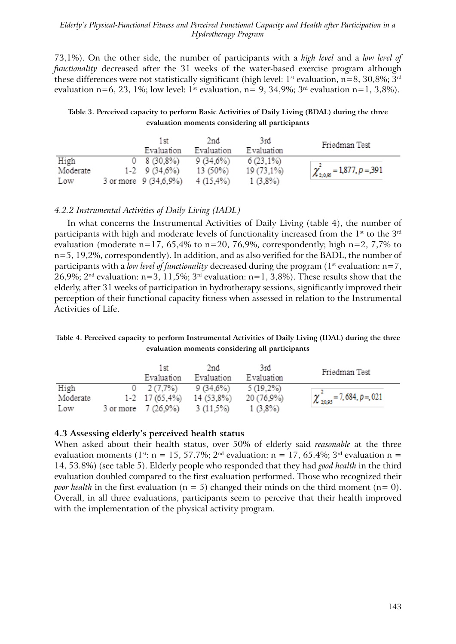### *Elderly's Physical-Functional Fitness and Perceived Functional Capacity and Health after Participation in a Hydrotherapy Program*

73,1%). On the other side, the number of participants with a *high level* and a *low level of functionality* decreased after the 31 weeks of the water-based exercise program although these differences were not statistically significant (high level:  $1^{st}$  evaluation, n=8, 30,8%; 3<sup>rd</sup> evaluation n=6, 23, 1%; low level:  $1^{\text{st}}$  evaluation, n= 9, 34,9%;  $3^{\text{rd}}$  evaluation n=1, 3,8%).

**Table 3. Perceived capacity to perform Basic Activities of Daily Living (BDAL) during the three evaluation moments considering all participants**

|          | 1 বা<br>Evaluation    | 2nd<br>Evaluation | 3rd<br>Evaluation | Friedman Test                           |
|----------|-----------------------|-------------------|-------------------|-----------------------------------------|
| High     | $0\quad 8(30.8\%)$    | 9 (34.6%)         | $6(23,1\%)$       |                                         |
| Moderate | $1-2$ 9 (34,6%)       | 13 (50%)          | 19 (73,1%)        | $\chi^2_{2.0,95}$ = 1,877, $\rho$ = 391 |
| Low      | 3 or more 9 (34,6,9%) | 4 (15.4%)         | $1(3.8\%)$        |                                         |

### *4.2.2 Instrumental Activities of Daily Living (IADL)*

In what concerns the Instrumental Activities of Daily Living (table 4), the number of participants with high and moderate levels of functionality increased from the  $1<sup>st</sup>$  to the  $3<sup>rd</sup>$ evaluation (moderate n=17, 65,4% to n=20, 76,9%, correspondently; high n=2, 7,7% to n=5, 19,2%, correspondently). In addition, and as also verified for the BADL, the number of participants with a *low level of functionality* decreased during the program ( $1<sup>st</sup>$  evaluation:  $n=7$ , 26,9%;  $2^{nd}$  evaluation: n=3, 11,5%;  $3^{rd}$  evaluation: n=1,  $3,8\%$ ). These results show that the elderly, after 31 weeks of participation in hydrotherapy sessions, significantly improved their perception of their functional capacity fitness when assessed in relation to the Instrumental Activities of Life.

### **Table 4. Perceived capacity to perform Instrumental Activities of Daily Living (IDAL) during the three evaluation moments considering all participants**

|          | 1 বা<br>Evaluation            | 2nd<br>Evaluation | 3rd<br>Evaluation | Friedman Test                            |
|----------|-------------------------------|-------------------|-------------------|------------------------------------------|
| High     | $0 \quad 2(7.7\%)$            | 9 (34,6%)         | $5(19,2\%)$       |                                          |
| Moderate | $1-2$ 17 (65,4%) 14 (53,8%)   |                   | 20 (76,9%)        | $\chi^2_{20,95}$ = 7, 684, $\rho$ =, 021 |
| Low      | 3 or more 7 (26.9%) 3 (11.5%) |                   | $1(3.8\%)$        |                                          |

# **4.3 Assessing elderly's perceived health status**

When asked about their health status, over 50% of elderly said *reasonable* at the three evaluation moments (1<sup>st</sup>: n = 15, 57.7%; 2<sup>nd</sup> evaluation: n = 17, 65.4%; 3<sup>rd</sup> evaluation n = 14, 53.8%) (see table 5). Elderly people who responded that they had *good health* in the third evaluation doubled compared to the first evaluation performed. Those who recognized their *poor health* in the first evaluation ( $n = 5$ ) changed their minds on the third moment ( $n = 0$ ). Overall, in all three evaluations, participants seem to perceive that their health improved with the implementation of the physical activity program.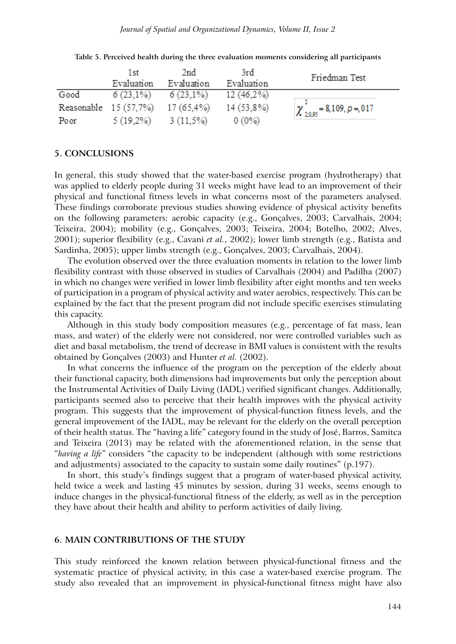|      | 1st<br>Evaluation                | 2nd<br>Evaluation | 3rd<br>Evaluation | Friedman Test                       |
|------|----------------------------------|-------------------|-------------------|-------------------------------------|
| Good | $6(23,1\%)$                      | $6(23,1\%)$       | $12(46.2\%)$      |                                     |
|      | Reasonable 15 (57,7%) 17 (65,4%) |                   | 14 (53,8%)        | $\chi^2_{20.95} = 8,109, p = 0.017$ |
| Poor | 5 (19.2%)                        | $3(11,5\%)$       | $0(0\%)$          |                                     |

**Table 5. Perceived health during the three evaluation moments considering all participants**

### **5. CONCLUSIONS**

In general, this study showed that the water-based exercise program (hydrotherapy) that was applied to elderly people during 31 weeks might have lead to an improvement of their physical and functional fitness levels in what concerns most of the parameters analysed. These findings corroborate previous studies showing evidence of physical activity benefits on the following parameters: aerobic capacity (e.g., Gonçalves, 2003; Carvalhais, 2004; Teixeira, 2004); mobility (e.g., Gonçalves, 2003; Teixeira, 2004; Botelho, 2002; Alves, 2001); superior flexibility (e.g., Cavani *et al.*, 2002); lower limb strength (e.g., Batista and Sardinha, 2005); upper limbs strength (e.g., Gonçalves, 2003; Carvalhais, 2004).

The evolution observed over the three evaluation moments in relation to the lower limb flexibility contrast with those observed in studies of Carvalhais (2004) and Padilha (2007) in which no changes were verified in lower limb flexibility after eight months and ten weeks of participation in a program of physical activity and water aerobics, respectively. This can be explained by the fact that the present program did not include specific exercises stimulating this capacity.

Although in this study body composition measures (e.g., percentage of fat mass, lean mass, and water) of the elderly were not considered, nor were controlled variables such as diet and basal metabolism, the trend of decrease in BMI values is consistent with the results obtained by Gonçalves (2003) and Hunter *et al.* (2002).

In what concerns the influence of the program on the perception of the elderly about their functional capacity, both dimensions had improvements but only the perception about the Instrumental Activities of Daily Living (IADL) verified significant changes. Additionally, participants seemed also to perceive that their health improves with the physical activity program. This suggests that the improvement of physical-function fitness levels, and the general improvement of the IADL, may be relevant for the elderly on the overall perception of their health status. The "having a life" category found in the study of José, Barros, Samitca and Teixeira (2013) may be related with the aforementioned relation, in the sense that "*having a life*" considers "the capacity to be independent (although with some restrictions and adjustments) associated to the capacity to sustain some daily routines" (p.197).

In short, this study's findings suggest that a program of water-based physical activity, held twice a week and lasting 45 minutes by session, during 31 weeks, seems enough to induce changes in the physical-functional fitness of the elderly, as well as in the perception they have about their health and ability to perform activities of daily living.

### **6. MAIN CONTRIBUTIONS OF THE STUDY**

This study reinforced the known relation between physical-functional fitness and the systematic practice of physical activity, in this case a water-based exercise program. The study also revealed that an improvement in physical-functional fitness might have also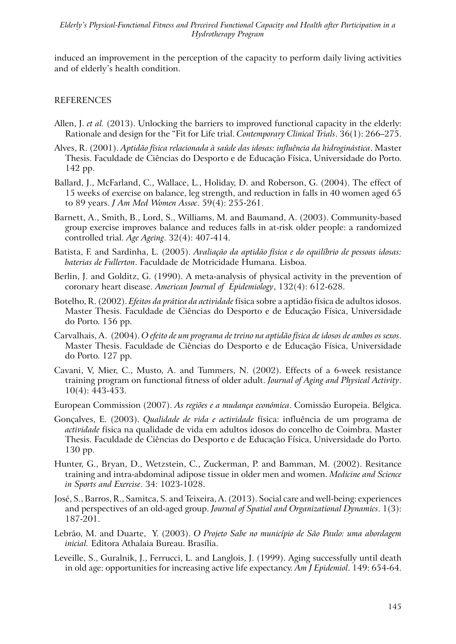induced an improvement in the perception of the capacity to perform daily living activities and of elderly's health condition.

### REFERENCES

- Allen, J. *et al.* (2013). Unlocking the barriers to improved functional capacity in the elderly: Rationale and design for the "Fit for Life trial. *Contemporary Clinical Trials*. 36(1): 266–275.
- Alves, R. (2001). *Aptidão física relacionada à saúde das idosas: influência da hidroginástica*. Master Thesis. Faculdade de Ciências do Desporto e de Educação Física, Universidade do Porto. 142 pp.
- Ballard, J., McFarland, C., Wallace, L., Holiday, D. and Roberson, G. (2004). The effect of 15 weeks of exercise on balance, leg strength, and reduction in falls in 40 women aged 65 to 89 years. *J Am Med Women Assoc*. 59(4): 255-261.
- Barnett, A., Smith, B., Lord, S., Williams, M. and Baumand, A. (2003). Community-based group exercise improves balance and reduces falls in at-risk older people: a randomized controlled trial. *Age Ageing*. 32(4): 407-414.
- Batista, F. and Sardinha, L. (2005). *Avaliação da aptidão física e do equilíbrio de pessoas idosas: baterias de Fullerton*. Faculdade de Motricidade Humana. Lisboa.
- Berlin, J. and Golditz, G. (1990). A meta-analysis of physical activity in the prevention of coronary heart disease. *American Journal of Epidemiology*, 132(4): 612-628.
- Botelho, R. (2002). *Efeitos da prática da actividade* física sobre a aptidão física de adultos idosos. Master Thesis. Faculdade de Ciências do Desporto e de Educação Física, Universidade do Porto. 156 pp.
- Carvalhais, A. (2004). *O efeito de um programa de treino na aptidão física de idosos de ambos os sexos*. Master Thesis. Faculdade de Ciências do Desporto e de Educação Física, Universidade do Porto. 127 pp.
- Cavani, V, Mier, C., Musto, A. and Tummers, N. (2002). Effects of a 6-week resistance training program on functional fitness of older adult. *Journal of Aging and Physical Activity*. 10(4): 443-453.
- European Commission (2007). *As regiões e a mudança económica*. Comissão Europeia. Bélgica.
- Gonçalves, E. (2003). *Qualidade de vida e actividade* física: influência de um programa de *actividade* física na qualidade de vida em adultos idosos do concelho de Coimbra. Master Thesis. Faculdade de Ciências do Desporto e de Educação Física, Universidade do Porto. 130 pp.
- Hunter, G., Bryan, D., Wetzstein, C., Zuckerman, P. and Bamman, M. (2002). Resitance training and intra-abdominal adipose tissue in older men and women. *Medicine and Science in Sports and Exercise*. 34: 1023-1028.
- José, S., Barros, R., Samitca, S. and Teixeira, A. (2013). Social care and well-being: experiences and perspectives of an old-aged group. *Journal of Spatial and Organizational Dynamics*. 1(3): 187-201.
- Lebrão, M. and Duarte, Y. (2003). *O Projeto Sabe no município de São Paulo: uma abordagem inicial.* Editora Athalaia Bureau. Brasília.
- Leveille, S., Guralnik, J., Ferrucci, L. and Langlois, J. (1999). Aging successfully until death in old age: opportunities for increasing active life expectancy. *Am J Epidemiol*. 149: 654-64.